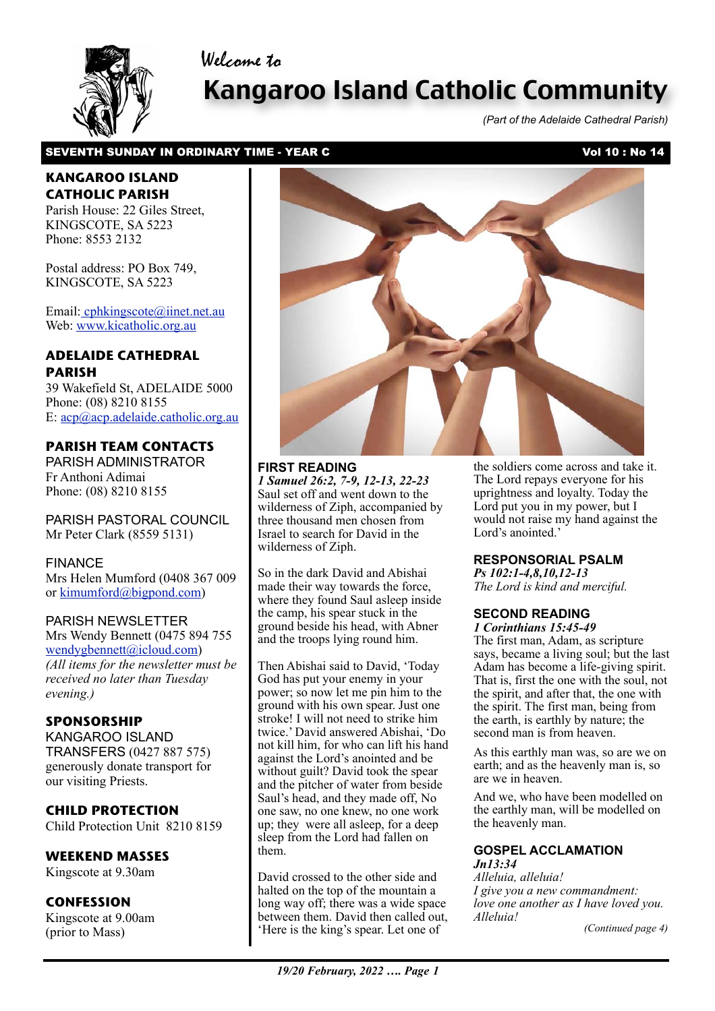Welcome to



# Kangaroo Island Catholic Community

*(Part of the Adelaide Cathedral Parish)*

## SEVENTH SUNDAY IN ORDINARY TIME - YEAR C VOLTO VOLTO VOL 10 : No 14

## **KANGAROO ISLAND CATHOLIC PARISH**

Parish House: 22 Giles Street, KINGSCOTE, SA 5223 Phone: 8553 2132

Postal address: PO Box 749, KINGSCOTE, SA 5223

Email[: cphkingscote@iinet.net.au](mailto:cphkingscote@iinet.net.au) Web: [www.kicatholic.org.au](http://www.kicatholic.org.au)

# **ADELAIDE CATHEDRAL PARISH**

39 Wakefield St, ADELAIDE 5000 Phone: (08) 8210 8155 E: [acp@acp.adelaide.catholic.org.au](mailto:?subject=)

# **PARISH TEAM CONTACTS**

PARISH ADMINISTRATOR Fr Anthoni Adimai Phone: (08) 8210 8155

PARISH PASTORAL COUNCIL Mr Peter Clark (8559 5131)

FINANCE Mrs Helen Mumford (0408 367 009 or [kimumford@bigpond.com\)](mailto:kimumford@bigpond.com)

#### PARISH NEWSLETTER

Mrs Wendy Bennett (0475 894 755 [wendygbennett@icloud.com\)](mailto:wendygbennett@icloud.com) *(All items for the newsletter must be received no later than Tuesday evening.)*

## **SPONSORSHIP**

KANGAROO ISLAND TRANSFERS (0427 887 575) generously donate transport for our visiting Priests.

# **CHILD PROTECTION**

Child Protection Unit 8210 8159

## **WEEKEND MASSES**

Kingscote at 9.30am

#### **CONFESSION**

Kingscote at 9.00am (prior to Mass)



**FIRST READING** *1 Samuel 26:2, 7-9, 12-13, 22-23* Saul set off and went down to the wilderness of Ziph, accompanied by three thousand men chosen from Israel to search for David in the wilderness of Ziph.

So in the dark David and Abishai made their way towards the force, where they found Saul asleep inside the camp, his spear stuck in the ground beside his head, with Abner and the troops lying round him.

Then Abishai said to David, 'Today God has put your enemy in your power; so now let me pin him to the ground with his own spear. Just one stroke! I will not need to strike him twice.' David answered Abishai, 'Do not kill him, for who can lift his hand against the Lord's anointed and be without guilt? David took the spear and the pitcher of water from beside Saul's head, and they made off, No one saw, no one knew, no one work up; they were all asleep, for a deep sleep from the Lord had fallen on them.

David crossed to the other side and halted on the top of the mountain a long way off; there was a wide space between them. David then called out, 'Here is the king's spear. Let one of

the soldiers come across and take it. The Lord repays everyone for his uprightness and loyalty. Today the Lord put you in my power, but I would not raise my hand against the Lord's anointed.'

## **RESPONSORIAL PSALM**

*Ps 102:1-4,8,10,12-13 The Lord is kind and merciful.*

#### **SECOND READING** *1 Corinthians 15:45-49*

The first man, Adam, as scripture says, became a living soul; but the last Adam has become a life-giving spirit. That is, first the one with the soul, not the spirit, and after that, the one with the spirit. The first man, being from the earth, is earthly by nature; the second man is from heaven.

As this earthly man was, so are we on earth; and as the heavenly man is, so are we in heaven.

And we, who have been modelled on the earthly man, will be modelled on the heavenly man.

#### **GOSPEL ACCLAMATION** *Jn13:34*

*Alleluia, alleluia! I give you a new commandment: love one another as I have loved you. Alleluia!*

*(Continued page 4)*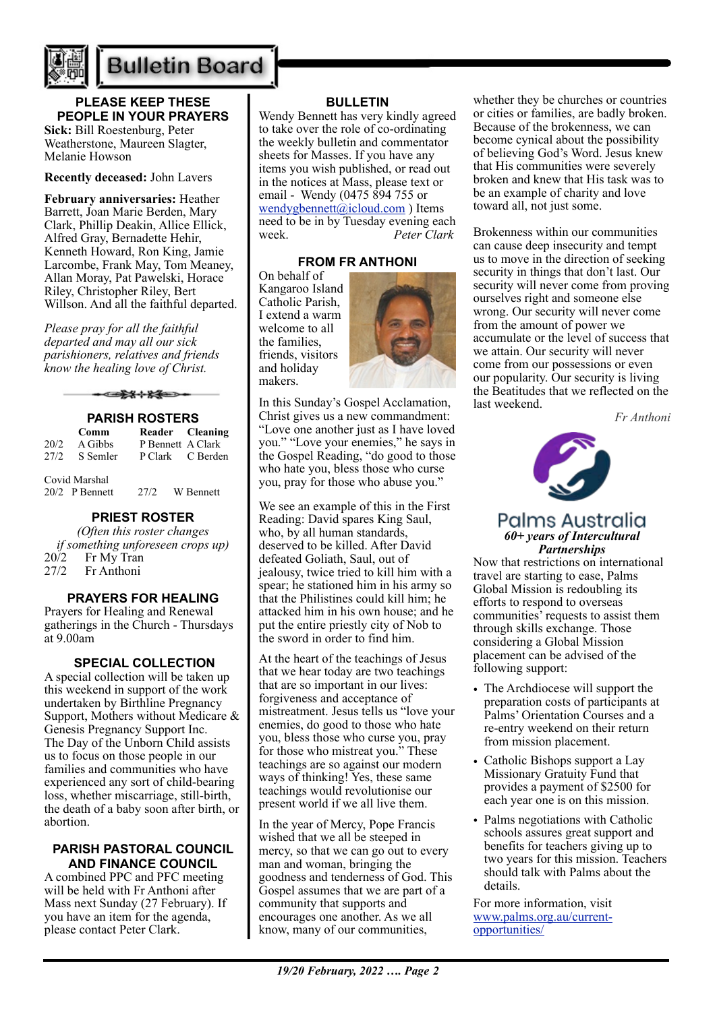

# **Bulletin Board**

#### **PLEASE KEEP THESE PEOPLE IN YOUR PRAYERS**

**Sick:** Bill Roestenburg, Peter Weatherstone, Maureen Slagter, Melanie Howson

**Recently deceased:** John Lavers

**February anniversaries:** Heather Barrett, Joan Marie Berden, Mary Clark, Phillip Deakin, Allice Ellick, Alfred Gray, Bernadette Hehir, Kenneth Howard, Ron King, Jamie Larcombe, Frank May, Tom Meaney, Allan Moray, Pat Pawelski, Horace Riley, Christopher Riley, Bert Willson. And all the faithful departed.

*Please pray for all the faithful departed and may all our sick parishioners, relatives and friends know the healing love of Christ.*

#### <del>੶</del>⋐<del>⋭</del>⋭⊹⋡⋚⋿⋗∙ **PARISH ROSTERS**

| PARISH RUSTERS |                                 |                   |                 |
|----------------|---------------------------------|-------------------|-----------------|
|                | Comm                            |                   | Reader Cleaning |
| 20/2           | A Gibbs                         | P Bennett A Clark |                 |
| 27/2           | S Semler                        | P Clark C Berden  |                 |
|                | Covid Marshal<br>20/2 P Bennett | 27/2              | W Bennett       |

#### **PRIEST ROSTER**

*(Often this roster changes if something unforeseen crops up)* 20/2 Fr My Tran<br>27/2 Fr Anthoni Fr Anthoni

## **PRAYERS FOR HEALING**

Prayers for Healing and Renewal gatherings in the Church - Thursdays at 9.00am

#### **SPECIAL COLLECTION**

A special collection will be taken up this weekend in support of the work undertaken by Birthline Pregnancy Support, Mothers without Medicare & Genesis Pregnancy Support Inc. The Day of the Unborn Child assists us to focus on those people in our families and communities who have experienced any sort of child-bearing loss, whether miscarriage, still-birth, the death of a baby soon after birth, or abortion.

#### **PARISH PASTORAL COUNCIL AND FINANCE COUNCIL**

A combined PPC and PFC meeting will be held with Fr Anthoni after Mass next Sunday (27 February). If you have an item for the agenda, please contact Peter Clark.

#### **BULLETIN**

Wendy Bennett has very kindly agreed to take over the role of co-ordinating the weekly bulletin and commentator sheets for Masses. If you have any items you wish published, or read out in the notices at Mass, please text or email - Wendy (0475 894 755 or [wendygbennett@icloud.com](mailto:wendygbennett@icloud.com) ) Items need to be in by Tuesday evening each week. *Peter Clark*

#### **FROM FR ANTHONI**

On behalf of Kangaroo Island Catholic Parish, I extend a warm welcome to all the families, friends, visitors and holiday makers.



In this Sunday's Gospel Acclamation, Christ gives us a new commandment: "Love one another just as I have loved you." "Love your enemies," he says in the Gospel Reading, "do good to those who hate you, bless those who curse you, pray for those who abuse you."

We see an example of this in the First Reading: David spares King Saul, who, by all human standards, deserved to be killed. After David defeated Goliath, Saul, out of jealousy, twice tried to kill him with a spear; he stationed him in his army so that the Philistines could kill him; he attacked him in his own house; and he put the entire priestly city of Nob to the sword in order to find him.

At the heart of the teachings of Jesus that we hear today are two teachings that are so important in our lives: forgiveness and acceptance of mistreatment. Jesus tells us "love your enemies, do good to those who hate you, bless those who curse you, pray for those who mistreat you." These teachings are so against our modern ways of thinking! Yes, these same teachings would revolutionise our present world if we all live them.

In the year of Mercy, Pope Francis wished that we all be steeped in mercy, so that we can go out to every man and woman, bringing the goodness and tenderness of God. This Gospel assumes that we are part of a community that supports and encourages one another. As we all know, many of our communities,

whether they be churches or countries or cities or families, are badly broken. Because of the brokenness, we can become cynical about the possibility of believing God's Word. Jesus knew that His communities were severely broken and knew that His task was to be an example of charity and love toward all, not just some.

Brokenness within our communities can cause deep insecurity and tempt us to move in the direction of seeking security in things that don't last. Our security will never come from proving ourselves right and someone else wrong. Our security will never come from the amount of power we accumulate or the level of success that we attain. Our security will never come from our possessions or even our popularity. Our security is living the Beatitudes that we reflected on the last weekend.

*Fr Anthoni*



#### Palms Australia *60+ years of Intercultural Partnerships*

Now that restrictions on international travel are starting to ease, Palms Global Mission is redoubling its efforts to respond to overseas communities' requests to assist them through skills exchange. Those considering a Global Mission placement can be advised of the following support:

- The Archdiocese will support the preparation costs of participants at Palms' Orientation Courses and a re-entry weekend on their return from mission placement.
- Catholic Bishops support a Lay Missionary Gratuity Fund that provides a payment of \$2500 for each year one is on this mission.
- Palms negotiations with Catholic schools assures great support and benefits for teachers giving up to two years for this mission. Teachers should talk with Palms about the details.

For more information, visit [www.palms.org.au/current](https://aus01.safelinks.protection.outlook.com/?url=http://www.palms.org.au/current-opportunities/&data=04%7C01%7CMBennier@adelaide.catholic.org.au%7Cf7245266b9eb4e44bec308d9ea9e0198%7Cfe51d108d61d407cbcaaaab5af82a7ac%7C1%7C0%7C637798786612003053%7CUnknown%7CTWFpbGZsb3d8eyJWIjoiMC4wLjAwMDAiLCJQIjoiV2luMzIiLCJBTiI6Ik1haWwiLCJXVCI6Mn0=%7C3000&sdata=cqbqURVshtilgQaRGRpmoZMfZnUi3DBCOjxNPbGqJUg=&reserved=0)[opportunities/](https://aus01.safelinks.protection.outlook.com/?url=http://www.palms.org.au/current-opportunities/&data=04%7C01%7CMBennier@adelaide.catholic.org.au%7Cf7245266b9eb4e44bec308d9ea9e0198%7Cfe51d108d61d407cbcaaaab5af82a7ac%7C1%7C0%7C637798786612003053%7CUnknown%7CTWFpbGZsb3d8eyJWIjoiMC4wLjAwMDAiLCJQIjoiV2luMzIiLCJBTiI6Ik1haWwiLCJXVCI6Mn0=%7C3000&sdata=cqbqURVshtilgQaRGRpmoZMfZnUi3DBCOjxNPbGqJUg=&reserved=0)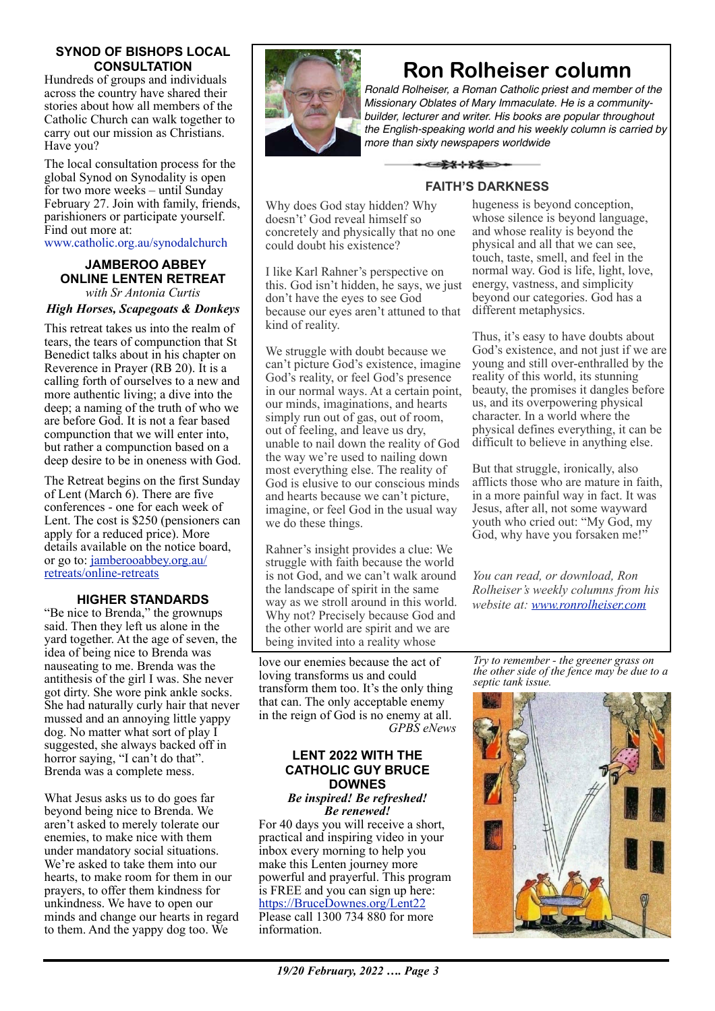#### **SYNOD OF BISHOPS LOCAL CONSULTATION**

Hundreds of groups and individuals across the country have shared their stories about how all members of the Catholic Church can walk together to carry out our mission as Christians. Have you?

The local consultation process for the global Synod on Synodality is open for two more weeks – until Sunday February 27. Join with family, friends, parishioners or participate yourself. Find out more at:

[www.catholic.org.au/synodalchurch](http://www.catholic.org.au/synodalchurch)

#### **JAMBEROO ABBEY ONLINE LENTEN RETREAT** *with Sr Antonia Curtis*

#### *High Horses, Scapegoats & Donkeys*

This retreat takes us into the realm of tears, the tears of compunction that St Benedict talks about in his chapter on Reverence in Prayer (RB 20). It is a calling forth of ourselves to a new and more authentic living; a dive into the deep; a naming of the truth of who we are before God. It is not a fear based compunction that we will enter into, but rather a compunction based on a deep desire to be in oneness with God.

The Retreat begins on the first Sunday of Lent (March 6). There are five conferences - one for each week of Lent. The cost is \$250 (pensioners can apply for a reduced price). More details available on the notice board, or go to: [jamberooabbey.org.au/](http://www.google.com.au/) [retreats/online-retreats](http://www.google.com.au/)

## **HIGHER STANDARDS**

"Be nice to Brenda," the grownups said. Then they left us alone in the yard together. At the age of seven, the idea of being nice to Brenda was nauseating to me. Brenda was the antithesis of the girl I was. She never got dirty. She wore pink ankle socks. She had naturally curly hair that never mussed and an annoying little yappy dog. No matter what sort of play I suggested, she always backed off in horror saying, "I can't do that". Brenda was a complete mess.

What Jesus asks us to do goes far beyond being nice to Brenda. We aren't asked to merely tolerate our enemies, to make nice with them under mandatory social situations. We're asked to take them into our hearts, to make room for them in our prayers, to offer them kindness for unkindness. We have to open our minds and change our hearts in regard to them. And the yappy dog too. We



# **Ron Rolheiser column**

*Ronald Rolheiser, a Roman Catholic priest and member of the Missionary Oblates of Mary Immaculate. He is a communitybuilder, lecturer and writer. His books are popular throughout the English-speaking world and his weekly column is carried by more than sixty newspapers worldwide*

▅<del>▛</del>▓⊹<del>▓</del>▅⋺

## **FAITH'S DARKNESS**

Why does God stay hidden? Why doesn't' God reveal himself so concretely and physically that no one could doubt his existence?

I like Karl Rahner's perspective on this. God isn't hidden, he says, we just don't have the eyes to see God because our eyes aren't attuned to that kind of reality.

We struggle with doubt because we can't picture God's existence, imagine God's reality, or feel God's presence in our normal ways. At a certain point, our minds, imaginations, and hearts simply run out of gas, out of room, out of feeling, and leave us dry, unable to nail down the reality of God the way we're used to nailing down most everything else. The reality of God is elusive to our conscious minds and hearts because we can't picture, imagine, or feel God in the usual way we do these things.

Rahner's insight provides a clue: We struggle with faith because the world is not God, and we can't walk around the landscape of spirit in the same way as we stroll around in this world. Why not? Precisely because God and the other world are spirit and we are being invited into a reality whose

love our enemies because the act of loving transforms us and could transform them too. It's the only thing that can. The only acceptable enemy in the reign of God is no enemy at all. *GPBS eNews*

#### **LENT 2022 WITH THE CATHOLIC GUY BRUCE DOWNES** *Be inspired! Be refreshed!*

*Be renewed!*

For 40 days you will receive a short, practical and inspiring video in your inbox every morning to help you make this Lenten journey more powerful and prayerful. This program is FREE and you can sign up here: <https://BruceDownes.org/Lent22> Please call 1300 734 880 for more information.

hugeness is beyond conception, whose silence is beyond language, and whose reality is beyond the physical and all that we can see, touch, taste, smell, and feel in the normal way. God is life, light, love, energy, vastness, and simplicity beyond our categories. God has a different metaphysics.

Thus, it's easy to have doubts about God's existence, and not just if we are young and still over-enthralled by the reality of this world, its stunning beauty, the promises it dangles before us, and its overpowering physical character. In a world where the physical defines everything, it can be difficult to believe in anything else.

But that struggle, ironically, also afflicts those who are mature in faith, in a more painful way in fact. It was Jesus, after all, not some wayward youth who cried out: "My God, my God, why have you forsaken me!"

*You can read, or download, Ron Rolheiser's weekly columns from his website at: www.ronrolheiser.com*

*Try to remember - the greener grass on the other side of the fence may be due to a septic tank issue.*